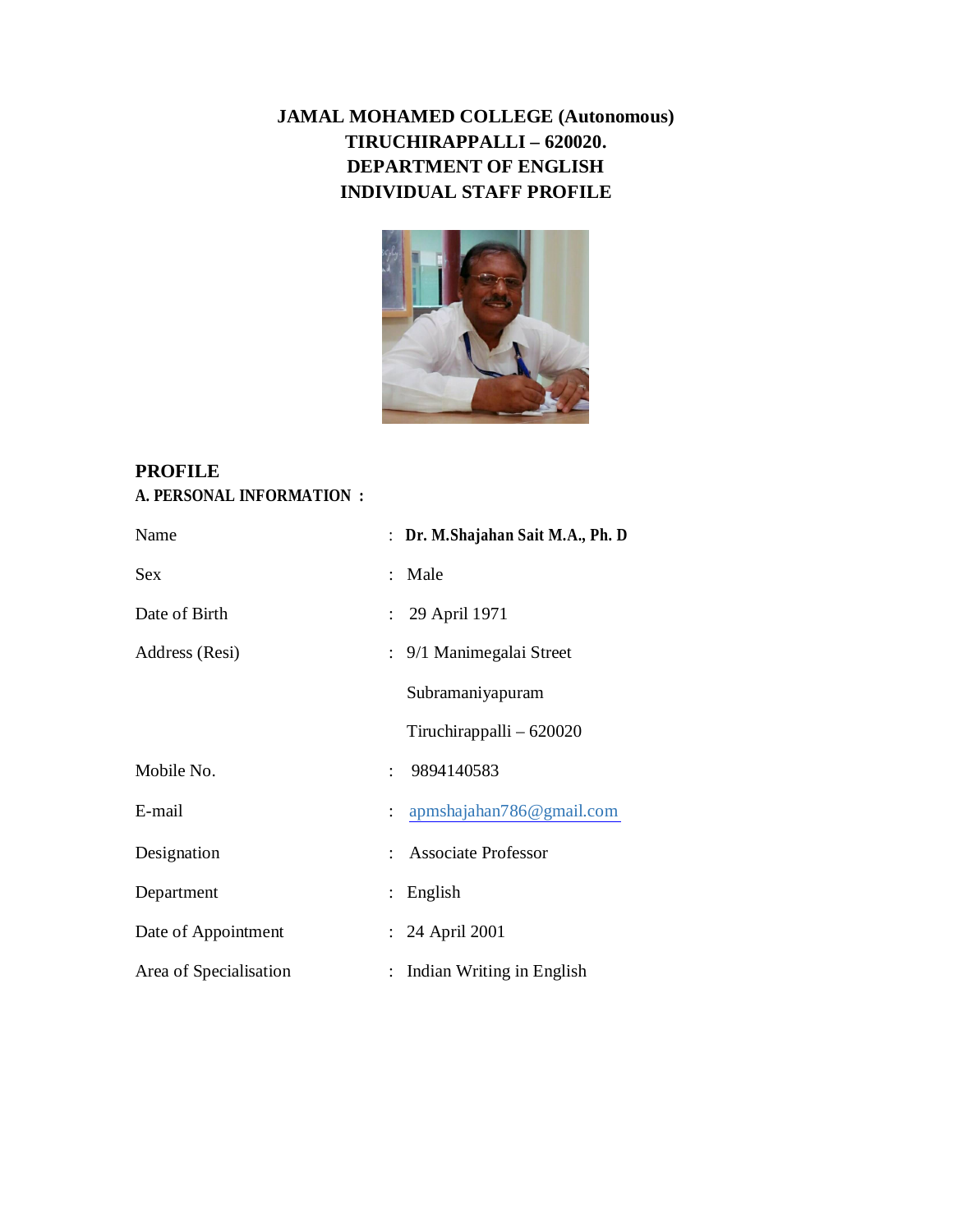## **JAMAL MOHAMED COLLEGE (Autonomous) TIRUCHIRAPPALLI – 620020. DEPARTMENT OF ENGLISH INDIVIDUAL STAFF PROFILE**



## **PROFILE A. PERSONAL INFORMATION :**

| Name                   |                              | : Dr. M.Shajahan Sait M.A., Ph. D |
|------------------------|------------------------------|-----------------------------------|
| <b>Sex</b>             | : Male                       |                                   |
| Date of Birth          | : 29 April 1971              |                                   |
| Address (Resi)         | : 9/1 Manimegalai Street     |                                   |
|                        | Subramaniyapuram             |                                   |
|                        |                              | Tiruchirappalli - 620020          |
| Mobile No.             | 9894140583<br>$\ddot{\cdot}$ |                                   |
| E-mail                 |                              | : apmshajahan786@gmail.com        |
| Designation            | <b>Associate Professor</b>   |                                   |
| Department             | English                      |                                   |
| Date of Appointment    | : 24 April 2001              |                                   |
| Area of Specialisation |                              | Indian Writing in English         |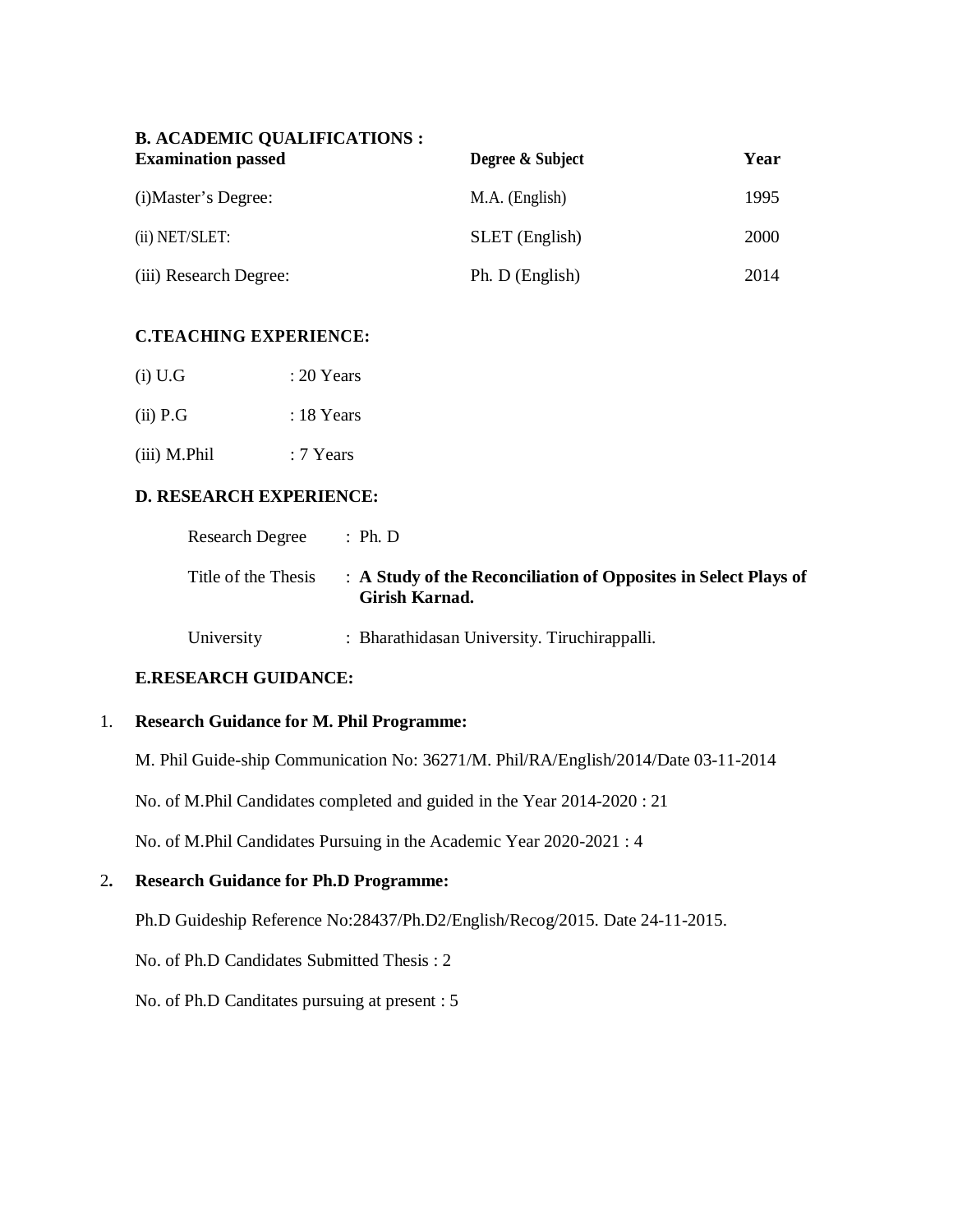| <b>B. ACADEMIC QUALIFICATIONS :</b><br><b>Examination passed</b> | Degree & Subject      | Year |
|------------------------------------------------------------------|-----------------------|------|
| (i) Master's Degree:                                             | M.A. (English)        | 1995 |
| (ii) NET/SLET:                                                   | <b>SLET</b> (English) | 2000 |
| (iii) Research Degree:                                           | Ph. D (English)       | 2014 |

#### **C.TEACHING EXPERIENCE:**

| $(i)$ U.G  | $: 20$ Years |
|------------|--------------|
| $(ii)$ P.G | : 18 Years   |

(iii) M.Phil : 7 Years

#### **D. RESEARCH EXPERIENCE:**

| <b>Research Degree</b> | : Ph.D                                                                            |
|------------------------|-----------------------------------------------------------------------------------|
| Title of the Thesis    | : A Study of the Reconciliation of Opposites in Select Plays of<br>Girish Karnad. |
| University             | : Bharathidasan University. Tiruchirappalli.                                      |

#### **E.RESEARCH GUIDANCE:**

#### 1. **Research Guidance for M. Phil Programme:**

M. Phil Guide-ship Communication No: 36271/M. Phil/RA/English/2014/Date 03-11-2014

No. of M.Phil Candidates completed and guided in the Year 2014-2020 : 21

No. of M.Phil Candidates Pursuing in the Academic Year 2020-2021 : 4

#### 2**. Research Guidance for Ph.D Programme:**

Ph.D Guideship Reference No:28437/Ph.D2/English/Recog/2015. Date 24-11-2015.

No. of Ph.D Candidates Submitted Thesis : 2

No. of Ph.D Canditates pursuing at present : 5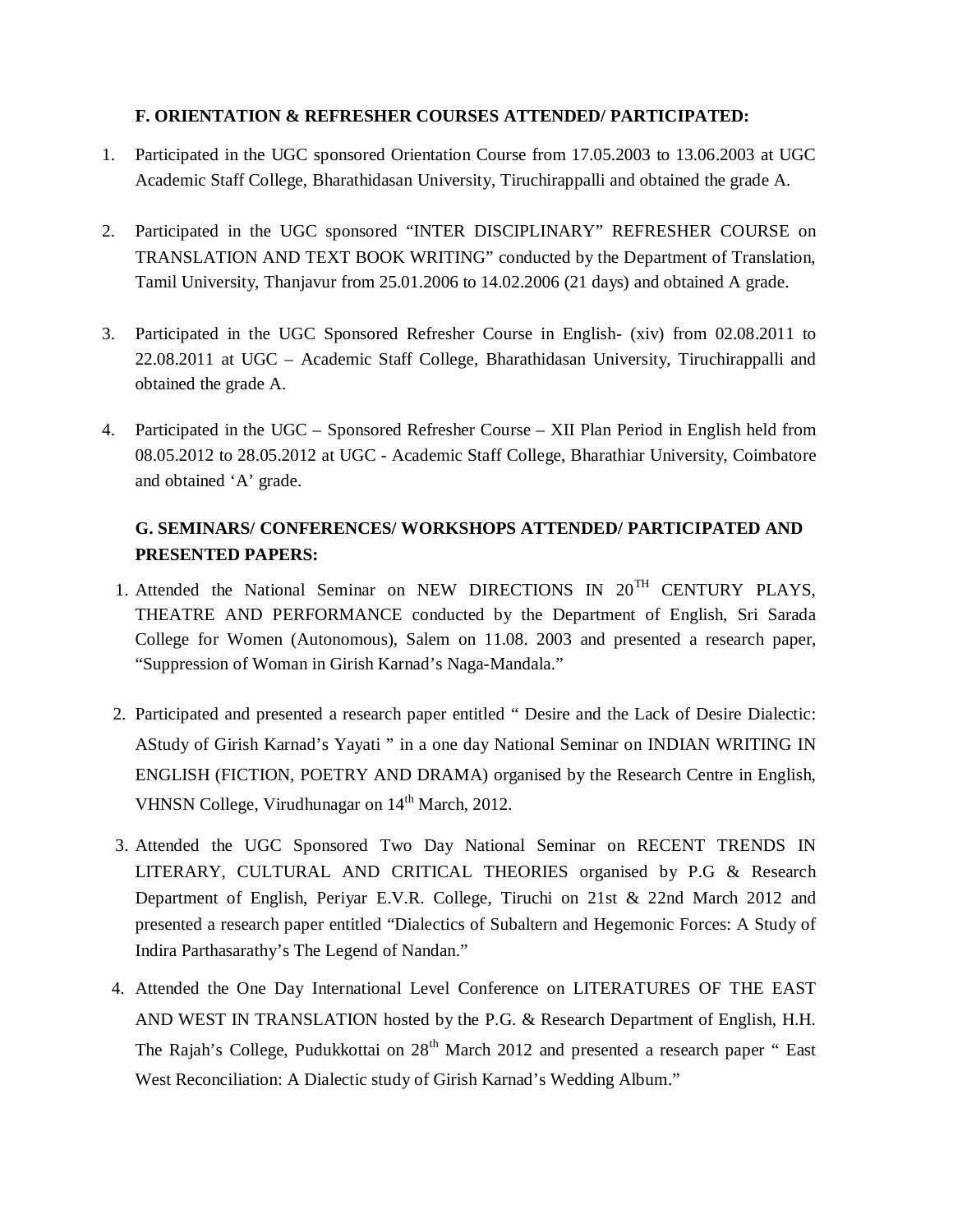#### **F. ORIENTATION & REFRESHER COURSES ATTENDED/ PARTICIPATED:**

- 1. Participated in the UGC sponsored Orientation Course from 17.05.2003 to 13.06.2003 at UGC Academic Staff College, Bharathidasan University, Tiruchirappalli and obtained the grade A.
- 2. Participated in the UGC sponsored "INTER DISCIPLINARY" REFRESHER COURSE on TRANSLATION AND TEXT BOOK WRITING" conducted by the Department of Translation, Tamil University, Thanjavur from 25.01.2006 to 14.02.2006 (21 days) and obtained A grade.
- 3. Participated in the UGC Sponsored Refresher Course in English- (xiv) from 02.08.2011 to 22.08.2011 at UGC – Academic Staff College, Bharathidasan University, Tiruchirappalli and obtained the grade A.
- 4. Participated in the UGC Sponsored Refresher Course XII Plan Period in English held from 08.05.2012 to 28.05.2012 at UGC - Academic Staff College, Bharathiar University, Coimbatore and obtained 'A' grade.

### **G. SEMINARS/ CONFERENCES/ WORKSHOPS ATTENDED/ PARTICIPATED AND PRESENTED PAPERS:**

- 1. Attended the National Seminar on NEW DIRECTIONS IN 20<sup>TH</sup> CENTURY PLAYS, THEATRE AND PERFORMANCE conducted by the Department of English, Sri Sarada College for Women (Autonomous), Salem on 11.08. 2003 and presented a research paper, "Suppression of Woman in Girish Karnad's Naga-Mandala."
- 2. Participated and presented a research paper entitled " Desire and the Lack of Desire Dialectic: AStudy of Girish Karnad's Yayati " in a one day National Seminar on INDIAN WRITING IN ENGLISH (FICTION, POETRY AND DRAMA) organised by the Research Centre in English, VHNSN College, Virudhunagar on  $14<sup>th</sup>$  March, 2012.
- 3. Attended the UGC Sponsored Two Day National Seminar on RECENT TRENDS IN LITERARY, CULTURAL AND CRITICAL THEORIES organised by P.G & Research Department of English, Periyar E.V.R. College, Tiruchi on 21st & 22nd March 2012 and presented a research paper entitled "Dialectics of Subaltern and Hegemonic Forces: A Study of Indira Parthasarathy's The Legend of Nandan."
- 4. Attended the One Day International Level Conference on LITERATURES OF THE EAST AND WEST IN TRANSLATION hosted by the P.G. & Research Department of English, H.H. The Rajah's College, Pudukkottai on  $28<sup>th</sup>$  March 2012 and presented a research paper " East West Reconciliation: A Dialectic study of Girish Karnad's Wedding Album."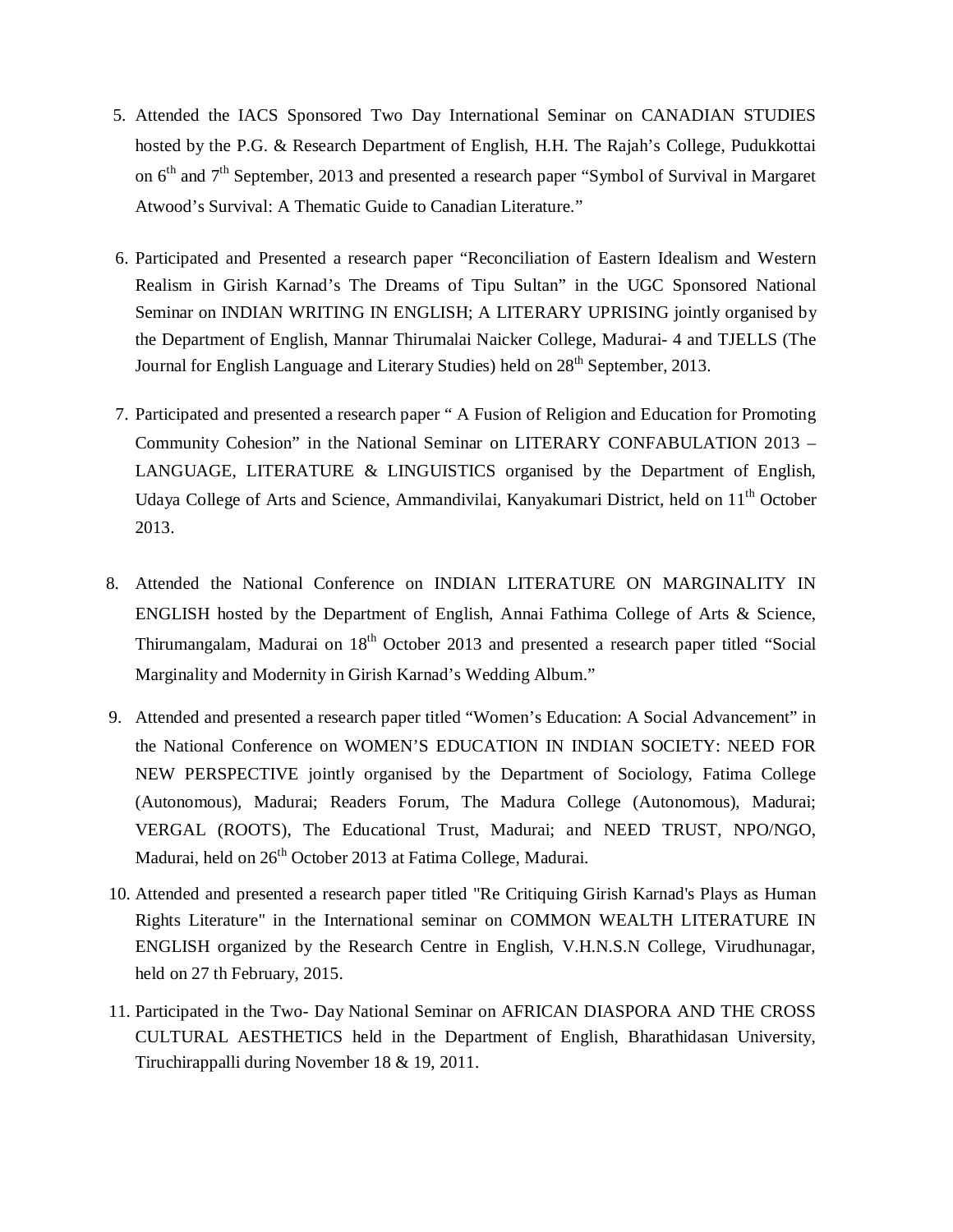- 5. Attended the IACS Sponsored Two Day International Seminar on CANADIAN STUDIES hosted by the P.G. & Research Department of English, H.H. The Rajah's College, Pudukkottai on 6<sup>th</sup> and 7<sup>th</sup> September, 2013 and presented a research paper "Symbol of Survival in Margaret Atwood's Survival: A Thematic Guide to Canadian Literature."
- 6. Participated and Presented a research paper "Reconciliation of Eastern Idealism and Western Realism in Girish Karnad's The Dreams of Tipu Sultan" in the UGC Sponsored National Seminar on INDIAN WRITING IN ENGLISH; A LITERARY UPRISING jointly organised by the Department of English, Mannar Thirumalai Naicker College, Madurai- 4 and TJELLS (The Journal for English Language and Literary Studies) held on 28<sup>th</sup> September, 2013.
- 7. Participated and presented a research paper " A Fusion of Religion and Education for Promoting Community Cohesion" in the National Seminar on LITERARY CONFABULATION 2013 – LANGUAGE, LITERATURE & LINGUISTICS organised by the Department of English, Udaya College of Arts and Science, Ammandivilai, Kanyakumari District, held on 11<sup>th</sup> October 2013.
- 8. Attended the National Conference on INDIAN LITERATURE ON MARGINALITY IN ENGLISH hosted by the Department of English, Annai Fathima College of Arts & Science, Thirumangalam, Madurai on 18<sup>th</sup> October 2013 and presented a research paper titled "Social" Marginality and Modernity in Girish Karnad's Wedding Album."
- 9. Attended and presented a research paper titled "Women's Education: A Social Advancement" in the National Conference on WOMEN'S EDUCATION IN INDIAN SOCIETY: NEED FOR NEW PERSPECTIVE jointly organised by the Department of Sociology, Fatima College (Autonomous), Madurai; Readers Forum, The Madura College (Autonomous), Madurai; VERGAL (ROOTS), The Educational Trust, Madurai; and NEED TRUST, NPO/NGO, Madurai, held on 26<sup>th</sup> October 2013 at Fatima College, Madurai.
- 10. Attended and presented a research paper titled "Re Critiquing Girish Karnad's Plays as Human Rights Literature" in the International seminar on COMMON WEALTH LITERATURE IN ENGLISH organized by the Research Centre in English, V.H.N.S.N College, Virudhunagar, held on 27 th February, 2015.
- 11. Participated in the Two- Day National Seminar on AFRICAN DIASPORA AND THE CROSS CULTURAL AESTHETICS held in the Department of English, Bharathidasan University, Tiruchirappalli during November 18 & 19, 2011.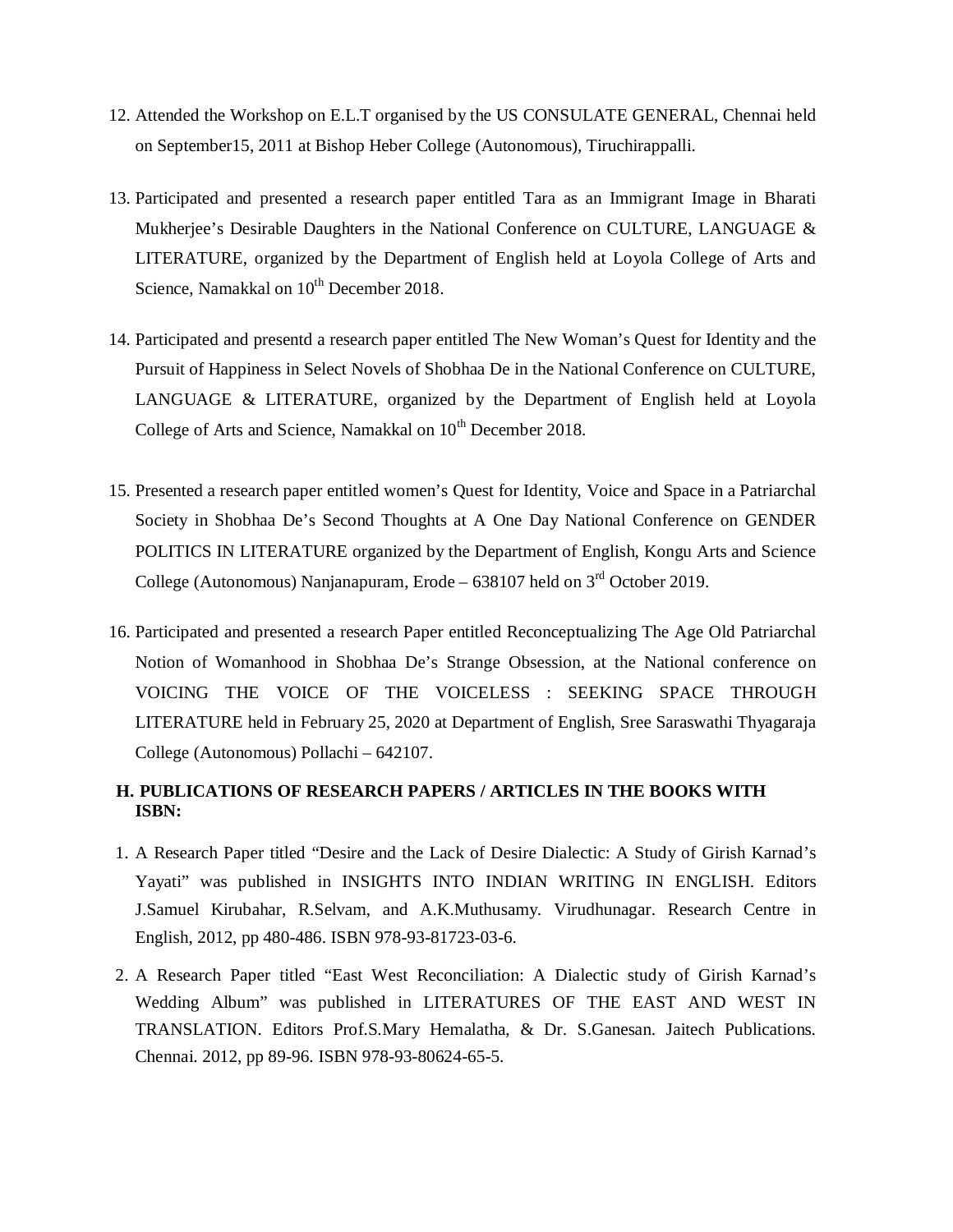- 12. Attended the Workshop on E.L.T organised by the US CONSULATE GENERAL, Chennai held on September15, 2011 at Bishop Heber College (Autonomous), Tiruchirappalli.
- 13. Participated and presented a research paper entitled Tara as an Immigrant Image in Bharati Mukherjee's Desirable Daughters in the National Conference on CULTURE, LANGUAGE & LITERATURE, organized by the Department of English held at Loyola College of Arts and Science, Namakkal on  $10^{th}$  December 2018.
- 14. Participated and presentd a research paper entitled The New Woman's Quest for Identity and the Pursuit of Happiness in Select Novels of Shobhaa De in the National Conference on CULTURE, LANGUAGE & LITERATURE, organized by the Department of English held at Loyola College of Arts and Science, Namakkal on  $10^{th}$  December 2018.
- 15. Presented a research paper entitled women's Quest for Identity, Voice and Space in a Patriarchal Society in Shobhaa De's Second Thoughts at A One Day National Conference on GENDER POLITICS IN LITERATURE organized by the Department of English, Kongu Arts and Science College (Autonomous) Nanjanapuram, Erode – 638107 held on  $3<sup>rd</sup>$  October 2019.
- 16. Participated and presented a research Paper entitled Reconceptualizing The Age Old Patriarchal Notion of Womanhood in Shobhaa De's Strange Obsession, at the National conference on VOICING THE VOICE OF THE VOICELESS : SEEKING SPACE THROUGH LITERATURE held in February 25, 2020 at Department of English, Sree Saraswathi Thyagaraja College (Autonomous) Pollachi – 642107.

#### **H. PUBLICATIONS OF RESEARCH PAPERS / ARTICLES IN THE BOOKS WITH ISBN:**

- 1. A Research Paper titled "Desire and the Lack of Desire Dialectic: A Study of Girish Karnad's Yayati" was published in INSIGHTS INTO INDIAN WRITING IN ENGLISH. Editors J.Samuel Kirubahar, R.Selvam, and A.K.Muthusamy. Virudhunagar. Research Centre in English, 2012, pp 480-486. ISBN 978-93-81723-03-6.
- 2. A Research Paper titled "East West Reconciliation: A Dialectic study of Girish Karnad's Wedding Album" was published in LITERATURES OF THE EAST AND WEST IN TRANSLATION. Editors Prof.S.Mary Hemalatha, & Dr. S.Ganesan. Jaitech Publications. Chennai. 2012, pp 89-96. ISBN 978-93-80624-65-5.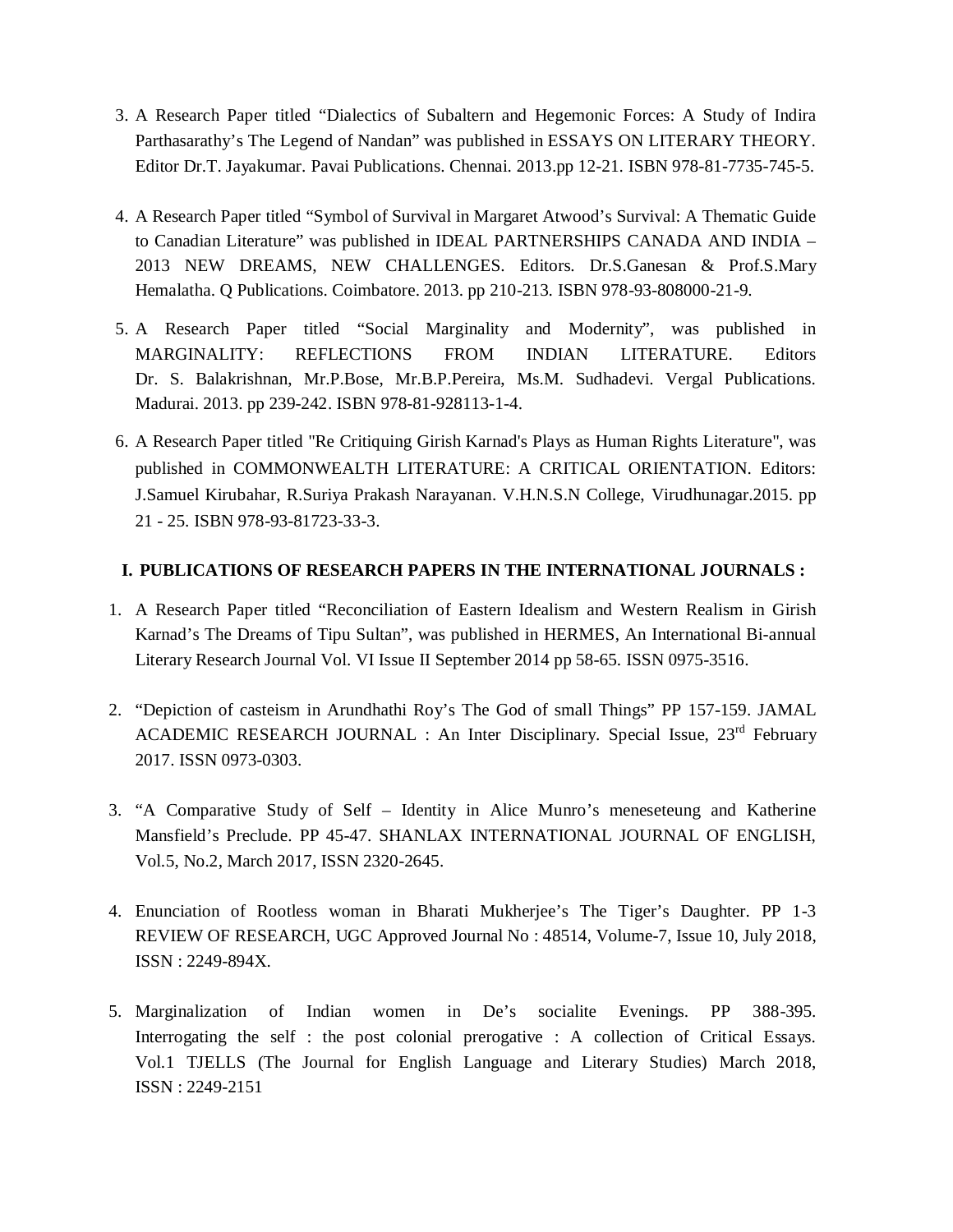- 3. A Research Paper titled "Dialectics of Subaltern and Hegemonic Forces: A Study of Indira Parthasarathy's The Legend of Nandan" was published in ESSAYS ON LITERARY THEORY. Editor Dr.T. Jayakumar. Pavai Publications. Chennai. 2013.pp 12-21. ISBN 978-81-7735-745-5.
- 4. A Research Paper titled "Symbol of Survival in Margaret Atwood's Survival: A Thematic Guide to Canadian Literature" was published in IDEAL PARTNERSHIPS CANADA AND INDIA – 2013 NEW DREAMS, NEW CHALLENGES. Editors. Dr.S.Ganesan & Prof.S.Mary Hemalatha. Q Publications. Coimbatore. 2013. pp 210-213. ISBN 978-93-808000-21-9.
- 5. A Research Paper titled "Social Marginality and Modernity", was published in MARGINALITY: REFLECTIONS FROM INDIAN LITERATURE. Editors Dr. S. Balakrishnan, Mr.P.Bose, Mr.B.P.Pereira, Ms.M. Sudhadevi. Vergal Publications. Madurai. 2013. pp 239-242. ISBN 978-81-928113-1-4.
- 6. A Research Paper titled "Re Critiquing Girish Karnad's Plays as Human Rights Literature", was published in COMMONWEALTH LITERATURE: A CRITICAL ORIENTATION. Editors: J.Samuel Kirubahar, R.Suriya Prakash Narayanan. V.H.N.S.N College, Virudhunagar.2015. pp 21 - 25. ISBN 978-93-81723-33-3.

#### **I. PUBLICATIONS OF RESEARCH PAPERS IN THE INTERNATIONAL JOURNALS :**

- 1. A Research Paper titled "Reconciliation of Eastern Idealism and Western Realism in Girish Karnad's The Dreams of Tipu Sultan", was published in HERMES, An International Bi-annual Literary Research Journal Vol. VI Issue II September 2014 pp 58-65. ISSN 0975-3516.
- 2. "Depiction of casteism in Arundhathi Roy's The God of small Things" PP 157-159. JAMAL ACADEMIC RESEARCH JOURNAL : An Inter Disciplinary. Special Issue, 23<sup>rd</sup> February 2017. ISSN 0973-0303.
- 3. "A Comparative Study of Self Identity in Alice Munro's meneseteung and Katherine Mansfield's Preclude. PP 45-47. SHANLAX INTERNATIONAL JOURNAL OF ENGLISH, Vol.5, No.2, March 2017, ISSN 2320-2645.
- 4. Enunciation of Rootless woman in Bharati Mukherjee's The Tiger's Daughter. PP 1-3 REVIEW OF RESEARCH, UGC Approved Journal No : 48514, Volume-7, Issue 10, July 2018, ISSN : 2249-894X.
- 5. Marginalization of Indian women in De's socialite Evenings. PP 388-395. Interrogating the self : the post colonial prerogative : A collection of Critical Essays. Vol.1 TJELLS (The Journal for English Language and Literary Studies) March 2018, ISSN : 2249-2151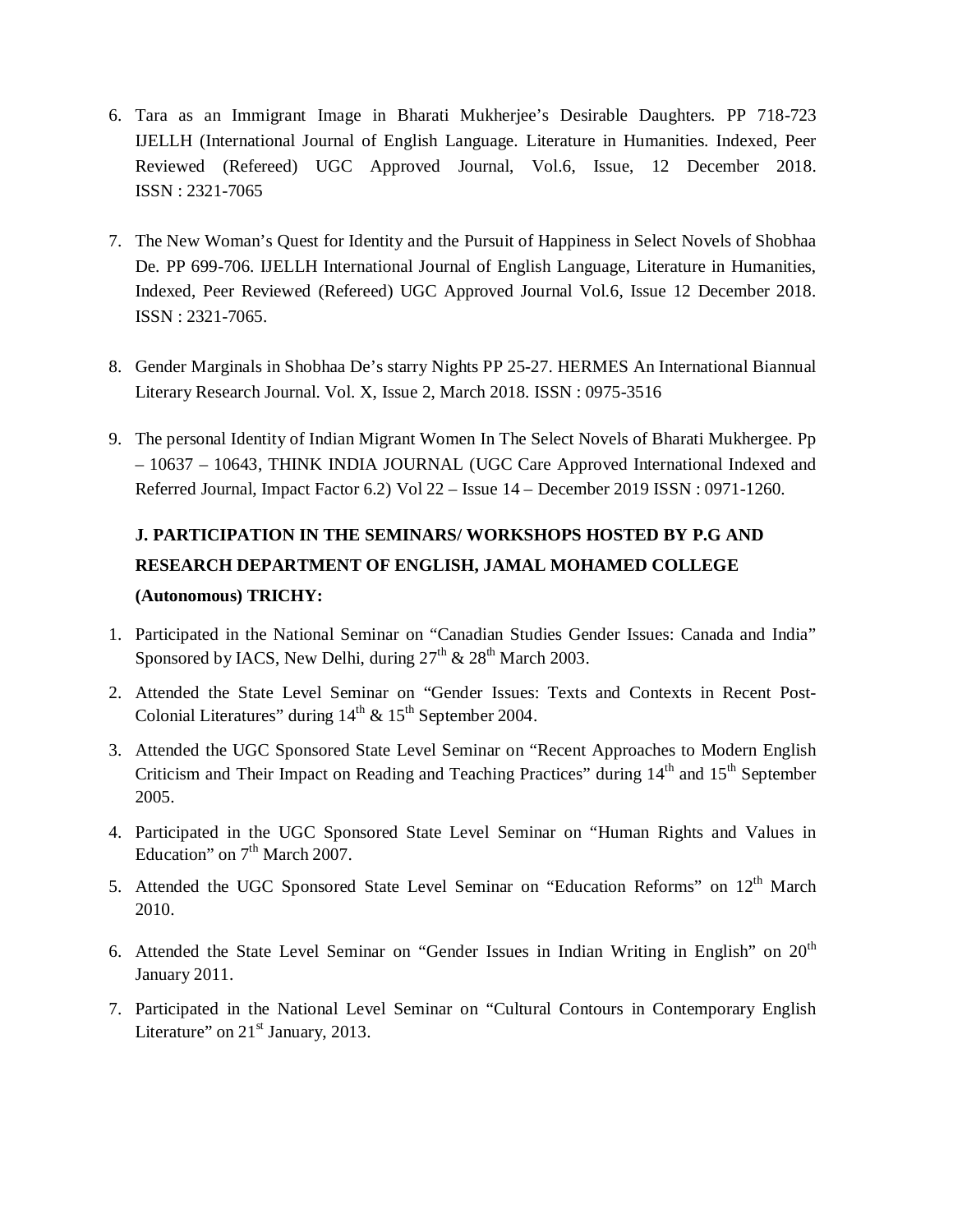- 6. Tara as an Immigrant Image in Bharati Mukherjee's Desirable Daughters. PP 718-723 IJELLH (International Journal of English Language. Literature in Humanities. Indexed, Peer Reviewed (Refereed) UGC Approved Journal, Vol.6, Issue, 12 December 2018. ISSN : 2321-7065
- 7. The New Woman's Quest for Identity and the Pursuit of Happiness in Select Novels of Shobhaa De. PP 699-706. IJELLH International Journal of English Language, Literature in Humanities, Indexed, Peer Reviewed (Refereed) UGC Approved Journal Vol.6, Issue 12 December 2018. ISSN : 2321-7065.
- 8. Gender Marginals in Shobhaa De's starry Nights PP 25-27. HERMES An International Biannual Literary Research Journal. Vol. X, Issue 2, March 2018. ISSN : 0975-3516
- 9. The personal Identity of Indian Migrant Women In The Select Novels of Bharati Mukhergee. Pp – 10637 – 10643, THINK INDIA JOURNAL (UGC Care Approved International Indexed and Referred Journal, Impact Factor 6.2) Vol 22 – Issue 14 – December 2019 ISSN : 0971-1260.

# **J. PARTICIPATION IN THE SEMINARS/ WORKSHOPS HOSTED BY P.G AND RESEARCH DEPARTMENT OF ENGLISH, JAMAL MOHAMED COLLEGE (Autonomous) TRICHY:**

- 1. Participated in the National Seminar on "Canadian Studies Gender Issues: Canada and India" Sponsored by IACS, New Delhi, during  $27<sup>th</sup>$  &  $28<sup>th</sup>$  March 2003.
- 2. Attended the State Level Seminar on "Gender Issues: Texts and Contexts in Recent Post-Colonial Literatures" during  $14<sup>th</sup> \& 15<sup>th</sup>$  September 2004.
- 3. Attended the UGC Sponsored State Level Seminar on "Recent Approaches to Modern English Criticism and Their Impact on Reading and Teaching Practices" during 14<sup>th</sup> and 15<sup>th</sup> September 2005.
- 4. Participated in the UGC Sponsored State Level Seminar on "Human Rights and Values in Education" on  $7<sup>th</sup>$  March 2007.
- 5. Attended the UGC Sponsored State Level Seminar on "Education Reforms" on  $12<sup>th</sup>$  March 2010.
- 6. Attended the State Level Seminar on "Gender Issues in Indian Writing in English" on 20<sup>th</sup> January 2011.
- 7. Participated in the National Level Seminar on "Cultural Contours in Contemporary English Literature" on 21<sup>st</sup> January, 2013.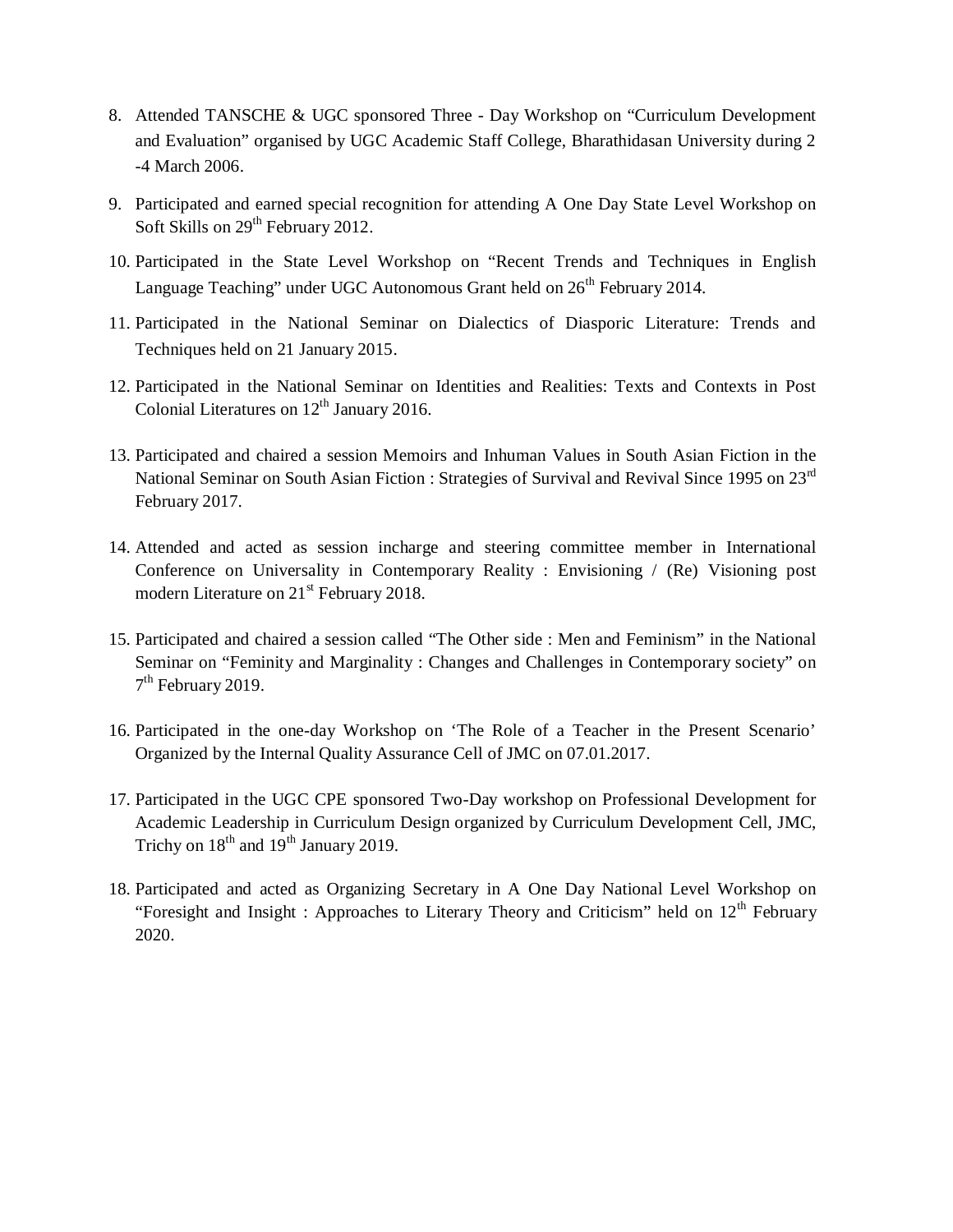- 8. Attended TANSCHE & UGC sponsored Three Day Workshop on "Curriculum Development and Evaluation" organised by UGC Academic Staff College, Bharathidasan University during 2 -4 March 2006.
- 9. Participated and earned special recognition for attending A One Day State Level Workshop on Soft Skills on 29<sup>th</sup> February 2012.
- 10. Participated in the State Level Workshop on "Recent Trends and Techniques in English Language Teaching" under UGC Autonomous Grant held on 26<sup>th</sup> February 2014.
- 11. Participated in the National Seminar on Dialectics of Diasporic Literature: Trends and Techniques held on 21 January 2015.
- 12. Participated in the National Seminar on Identities and Realities: Texts and Contexts in Post Colonial Literatures on 12<sup>th</sup> January 2016.
- 13. Participated and chaired a session Memoirs and Inhuman Values in South Asian Fiction in the National Seminar on South Asian Fiction : Strategies of Survival and Revival Since 1995 on 23<sup>rd</sup> February 2017.
- 14. Attended and acted as session incharge and steering committee member in International Conference on Universality in Contemporary Reality : Envisioning / (Re) Visioning post modern Literature on 21<sup>st</sup> February 2018.
- 15. Participated and chaired a session called "The Other side : Men and Feminism" in the National Seminar on "Feminity and Marginality : Changes and Challenges in Contemporary society" on 7<sup>th</sup> February 2019.
- 16. Participated in the one-day Workshop on 'The Role of a Teacher in the Present Scenario' Organized by the Internal Quality Assurance Cell of JMC on 07.01.2017.
- 17. Participated in the UGC CPE sponsored Two-Day workshop on Professional Development for Academic Leadership in Curriculum Design organized by Curriculum Development Cell, JMC, Trichy on  $18<sup>th</sup>$  and  $19<sup>th</sup>$  January 2019.
- 18. Participated and acted as Organizing Secretary in A One Day National Level Workshop on "Foresight and Insight : Approaches to Literary Theory and Criticism" held on  $12<sup>th</sup>$  February 2020.